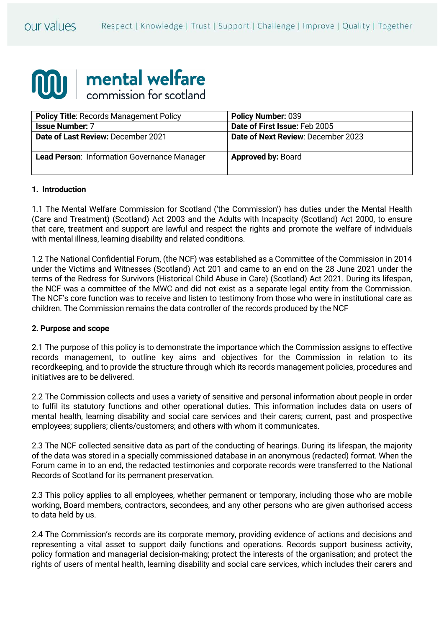

| <b>Policy Title: Records Management Policy</b> | <b>Policy Number: 039</b>          |
|------------------------------------------------|------------------------------------|
| <b>Issue Number: 7</b>                         | Date of First Issue: Feb 2005      |
| Date of Last Review: December 2021             | Date of Next Review: December 2023 |
| Lead Person: Information Governance Manager    | <b>Approved by: Board</b>          |

#### **1. Introduction**

1.1 The Mental Welfare Commission for Scotland ('the Commission') has duties under the Mental Health (Care and Treatment) (Scotland) Act 2003 and the Adults with Incapacity (Scotland) Act 2000, to ensure that care, treatment and support are lawful and respect the rights and promote the welfare of individuals with mental illness, learning disability and related conditions.

1.2 The National Confidential Forum, (the NCF) was established as a Committee of the Commission in 2014 under the Victims and Witnesses (Scotland) Act 201 and came to an end on the 28 June 2021 under the terms of the Redress for Survivors (Historical Child Abuse in Care) (Scotland) Act 2021. During its lifespan, the NCF was a committee of the MWC and did not exist as a separate legal entity from the Commission. The NCF's core function was to receive and listen to testimony from those who were in institutional care as children. The Commission remains the data controller of the records produced by the NCF

#### **2. Purpose and scope**

2.1 The purpose of this policy is to demonstrate the importance which the Commission assigns to effective records management, to outline key aims and objectives for the Commission in relation to its recordkeeping, and to provide the structure through which its records management policies, procedures and initiatives are to be delivered.

2.2 The Commission collects and uses a variety of sensitive and personal information about people in order to fulfil its statutory functions and other operational duties. This information includes data on users of mental health, learning disability and social care services and their carers; current, past and prospective employees; suppliers; clients/customers; and others with whom it communicates.

2.3 The NCF collected sensitive data as part of the conducting of hearings. During its lifespan, the majority of the data was stored in a specially commissioned database in an anonymous (redacted) format. When the Forum came in to an end, the redacted testimonies and corporate records were transferred to the National Records of Scotland for its permanent preservation.

2.3 This policy applies to all employees, whether permanent or temporary, including those who are mobile working, Board members, contractors, secondees, and any other persons who are given authorised access to data held by us.

2.4 The Commission's records are its corporate memory, providing evidence of actions and decisions and representing a vital asset to support daily functions and operations. Records support business activity, policy formation and managerial decision-making; protect the interests of the organisation; and protect the rights of users of mental health, learning disability and social care services, which includes their carers and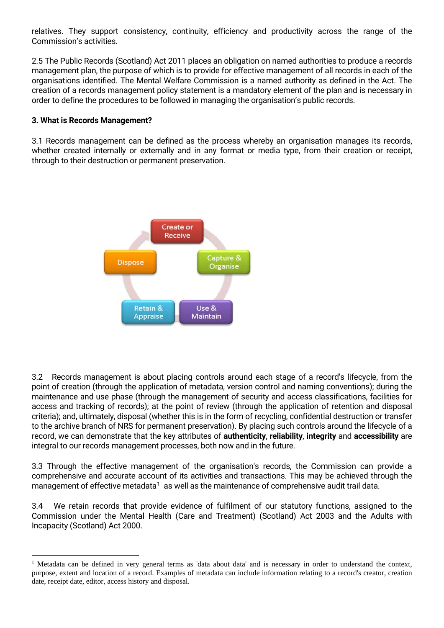relatives. They support consistency, continuity, efficiency and productivity across the range of the Commission's activities.

2.5 The Public Records (Scotland) Act 2011 places an obligation on named authorities to produce a records management plan, the purpose of which is to provide for effective management of all records in each of the organisations identified. The Mental Welfare Commission is a named authority as defined in the Act. The creation of a records management policy statement is a mandatory element of the plan and is necessary in order to define the procedures to be followed in managing the organisation's public records.

#### **3. What is Records Management?**

 $\overline{a}$ 

3.1 Records management can be defined as the process whereby an organisation manages its records, whether created internally or externally and in any format or media type, from their creation or receipt, through to their destruction or permanent preservation.



3.2 Records management is about placing controls around each stage of a record's lifecycle, from the point of creation (through the application of metadata, version control and naming conventions); during the maintenance and use phase (through the management of security and access classifications, facilities for access and tracking of records); at the point of review (through the application of retention and disposal criteria); and, ultimately, disposal (whether this is in the form of recycling, confidential destruction or transfer to the archive branch of NRS for permanent preservation). By placing such controls around the lifecycle of a record, we can demonstrate that the key attributes of **authenticity**, **reliability**, **integrity** and **accessibility** are integral to our records management processes, both now and in the future.

3.3 Through the effective management of the organisation's records, the Commission can provide a comprehensive and accurate account of its activities and transactions. This may be achieved through the management of effective metadata $^1\,$  $^1\,$  $^1\,$  as well as the maintenance of comprehensive audit trail data.

3.4 We retain records that provide evidence of fulfilment of our statutory functions, assigned to the Commission under the Mental Health (Care and Treatment) (Scotland) Act 2003 and the Adults with Incapacity (Scotland) Act 2000.

<span id="page-1-0"></span><sup>&</sup>lt;sup>1</sup> Metadata can be defined in very general terms as 'data about data' and is necessary in order to understand the context, purpose, extent and location of a record. Examples of metadata can include information relating to a record's creator, creation date, receipt date, editor, access history and disposal.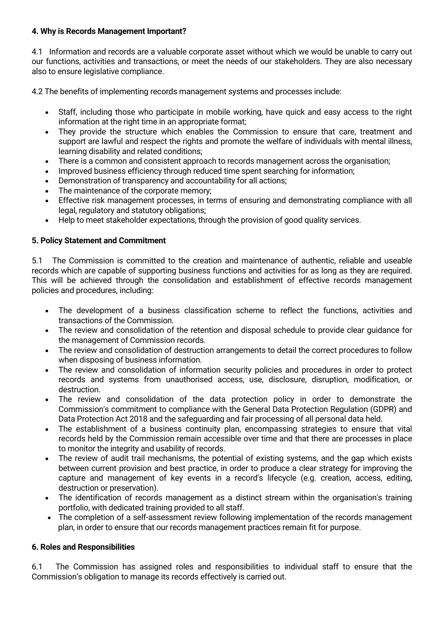## **4. Why is Records Management Important?**

4.1 Information and records are a valuable corporate asset without which we would be unable to carry out our functions, activities and transactions, or meet the needs of our stakeholders. They are also necessary also to ensure legislative compliance.

4.2 The benefits of implementing records management systems and processes include:

- Staff, including those who participate in mobile working, have quick and easy access to the right information at the right time in an appropriate format:
- They provide the structure which enables the Commission to ensure that care, treatment and support are lawful and respect the rights and promote the welfare of individuals with mental illness, learning disability and related conditions;
- There is a common and consistent approach to records management across the organisation;
- Improved business efficiency through reduced time spent searching for information;
- Demonstration of transparency and accountability for all actions;
- The maintenance of the corporate memory;
- Effective risk management processes, in terms of ensuring and demonstrating compliance with all legal, regulatory and statutory obligations;
- Help to meet stakeholder expectations, through the provision of good quality services.

### **5. Policy Statement and Commitment**

5.1 The Commission is committed to the creation and maintenance of authentic, reliable and useable records which are capable of supporting business functions and activities for as long as they are required. This will be achieved through the consolidation and establishment of effective records management policies and procedures, including:

- The development of a business classification scheme to reflect the functions, activities and transactions of the Commission.
- The review and consolidation of the retention and disposal schedule to provide clear guidance for the management of Commission records.
- The review and consolidation of destruction arrangements to detail the correct procedures to follow when disposing of business information.
- The review and consolidation of information security policies and procedures in order to protect records and systems from unauthorised access, use, disclosure, disruption, modification, or destruction.
- The review and consolidation of the data protection policy in order to demonstrate the Commission's commitment to compliance with the General Data Protection Regulation (GDPR) and Data Protection Act 2018 and the safeguarding and fair processing of all personal data held.
- The establishment of a business continuity plan, encompassing strategies to ensure that vital records held by the Commission remain accessible over time and that there are processes in place to monitor the integrity and usability of records.
- The review of audit trail mechanisms, the potential of existing systems, and the gap which exists between current provision and best practice, in order to produce a clear strategy for improving the capture and management of key events in a record's lifecycle (e.g. creation, access, editing, destruction or preservation).
- The identification of records management as a distinct stream within the organisation's training portfolio, with dedicated training provided to all staff.
- The completion of a self-assessment review following implementation of the records management plan, in order to ensure that our records management practices remain fit for purpose.

### **6. Roles and Responsibilities**

6.1 The Commission has assigned roles and responsibilities to individual staff to ensure that the Commission's obligation to manage its records effectively is carried out.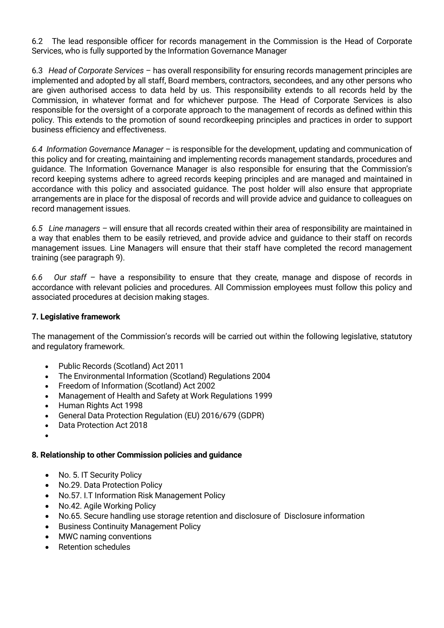6.2 The lead responsible officer for records management in the Commission is the Head of Corporate Services, who is fully supported by the Information Governance Manager

6.3 *Head of Corporate Services* – has overall responsibility for ensuring records management principles are implemented and adopted by all staff, Board members, contractors, secondees, and any other persons who are given authorised access to data held by us. This responsibility extends to all records held by the Commission, in whatever format and for whichever purpose. The Head of Corporate Services is also responsible for the oversight of a corporate approach to the management of records as defined within this policy. This extends to the promotion of sound recordkeeping principles and practices in order to support business efficiency and effectiveness.

*6.4 Information Governance Manager* – is responsible for the development, updating and communication of this policy and for creating, maintaining and implementing records management standards, procedures and guidance. The Information Governance Manager is also responsible for ensuring that the Commission's record keeping systems adhere to agreed records keeping principles and are managed and maintained in accordance with this policy and associated guidance. The post holder will also ensure that appropriate arrangements are in place for the disposal of records and will provide advice and guidance to colleagues on record management issues.

*6.5 Line managers* – will ensure that all records created within their area of responsibility are maintained in a way that enables them to be easily retrieved, and provide advice and guidance to their staff on records management issues. Line Managers will ensure that their staff have completed the record management training (see paragraph 9).

*6.6 Our staff* – have a responsibility to ensure that they create, manage and dispose of records in accordance with relevant policies and procedures. All Commission employees must follow this policy and associated procedures at decision making stages.

## **7. Legislative framework**

The management of the Commission's records will be carried out within the following legislative, statutory and regulatory framework.

- Public Records (Scotland) Act 2011
- The Environmental Information (Scotland) Regulations 2004
- Freedom of Information (Scotland) Act 2002
- Management of Health and Safety at Work Regulations 1999
- Human Rights Act 1998
- General Data Protection Regulation (EU) 2016/679 (GDPR)
- Data Protection Act 2018
- •

### **8. Relationship to other Commission policies and guidance**

- No. 5. IT Security Policy
- No.29. Data Protection Policy
- No.57. I.T Information Risk Management Policy
- No.42. Agile Working Policy
- No.65. Secure handling use storage retention and disclosure of Disclosure information
- Business Continuity Management Policy
- MWC naming conventions
- Retention schedules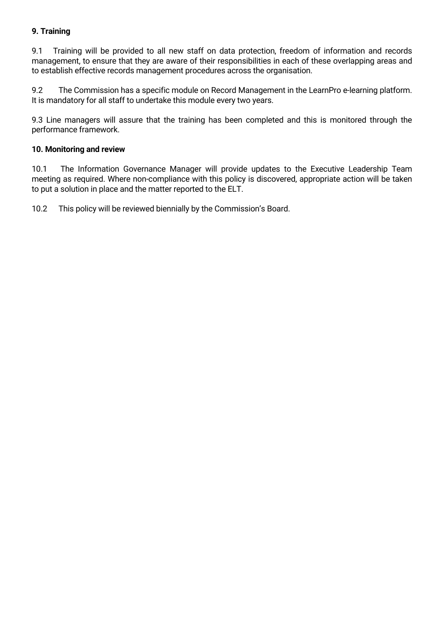## **9. Training**

9.1 Training will be provided to all new staff on data protection, freedom of information and records management, to ensure that they are aware of their responsibilities in each of these overlapping areas and to establish effective records management procedures across the organisation.

9.2 The Commission has a specific module on Record Management in the LearnPro e-learning platform. It is mandatory for all staff to undertake this module every two years.

9.3 Line managers will assure that the training has been completed and this is monitored through the performance framework.

### **10. Monitoring and review**

10.1 The Information Governance Manager will provide updates to the Executive Leadership Team meeting as required. Where non-compliance with this policy is discovered, appropriate action will be taken to put a solution in place and the matter reported to the ELT.

10.2 This policy will be reviewed biennially by the Commission's Board.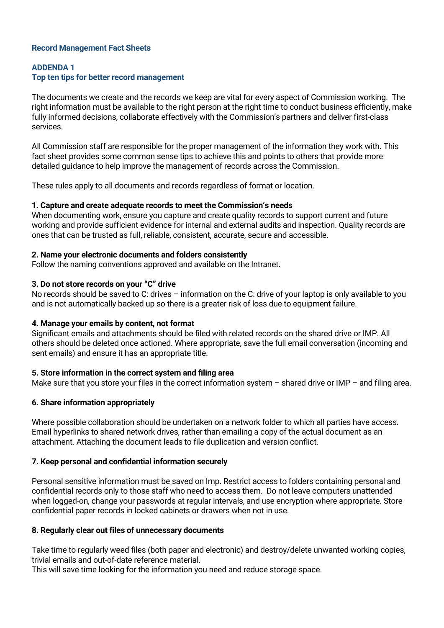### **Record Management Fact Sheets**

### **ADDENDA 1**

### **Top ten tips for better record management**

The documents we create and the records we keep are vital for every aspect of Commission working. The right information must be available to the right person at the right time to conduct business efficiently, make fully informed decisions, collaborate effectively with the Commission's partners and deliver first-class services.

All Commission staff are responsible for the proper management of the information they work with. This fact sheet provides some common sense tips to achieve this and points to others that provide more detailed guidance to help improve the management of records across the Commission.

These rules apply to all documents and records regardless of format or location.

#### **1. Capture and create adequate records to meet the Commission's needs**

When documenting work, ensure you capture and create quality records to support current and future working and provide sufficient evidence for internal and external audits and inspection. Quality records are ones that can be trusted as full, reliable, consistent, accurate, secure and accessible.

#### **2. Name your electronic documents and folders consistently**

Follow the naming conventions approved and available on the Intranet.

### **3. Do not store records on your "C" drive**

No records should be saved to C: drives – information on the C: drive of your laptop is only available to you and is not automatically backed up so there is a greater risk of loss due to equipment failure.

### **4. Manage your emails by content, not format**

Significant emails and attachments should be filed with related records on the shared drive or IMP. All others should be deleted once actioned. Where appropriate, save the full email conversation (incoming and sent emails) and ensure it has an appropriate title.

### **5. Store information in the correct system and filing area**

Make sure that you store your files in the correct information system  $-$  shared drive or IMP  $-$  and filing area.

### **6. Share information appropriately**

Where possible collaboration should be undertaken on a network folder to which all parties have access. Email hyperlinks to shared network drives, rather than emailing a copy of the actual document as an attachment. Attaching the document leads to file duplication and version conflict.

### **7. Keep personal and confidential information securely**

Personal sensitive information must be saved on Imp. Restrict access to folders containing personal and confidential records only to those staff who need to access them. Do not leave computers unattended when logged-on, change your passwords at regular intervals, and use encryption where appropriate. Store confidential paper records in locked cabinets or drawers when not in use.

#### **8. Regularly clear out files of unnecessary documents**

Take time to regularly weed files (both paper and electronic) and destroy/delete unwanted working copies, trivial emails and out-of-date reference material.

This will save time looking for the information you need and reduce storage space.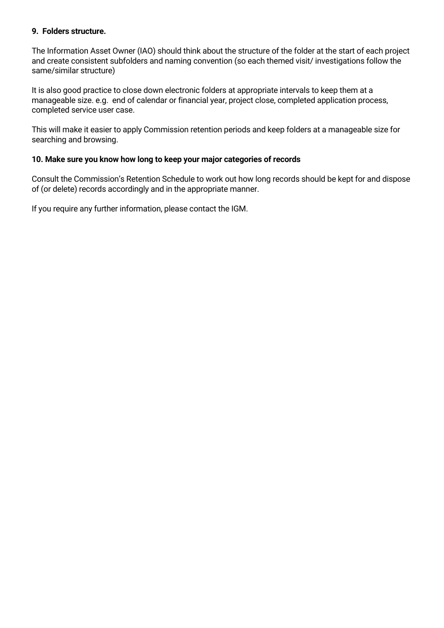### **9. Folders structure.**

The Information Asset Owner (IAO) should think about the structure of the folder at the start of each project and create consistent subfolders and naming convention (so each themed visit/ investigations follow the same/similar structure)

It is also good practice to close down electronic folders at appropriate intervals to keep them at a manageable size. e.g. end of calendar or financial year, project close, completed application process, completed service user case.

This will make it easier to apply Commission retention periods and keep folders at a manageable size for searching and browsing.

### **10. Make sure you know how long to keep your major categories of records**

Consult the Commission's Retention Schedule to work out how long records should be kept for and dispose of (or delete) records accordingly and in the appropriate manner.

If you require any further information, please contact the IGM.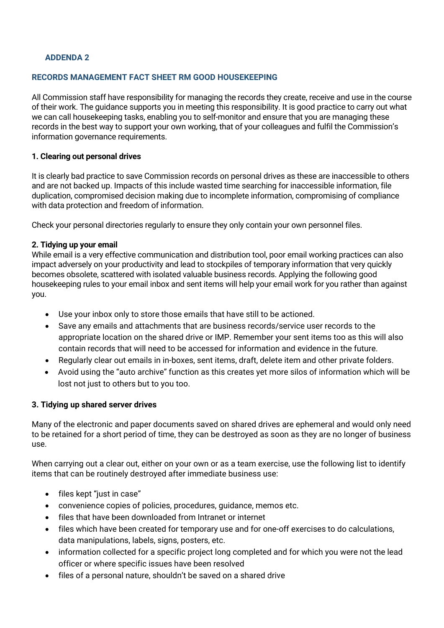### **ADDENDA 2**

### **RECORDS MANAGEMENT FACT SHEET RM GOOD HOUSEKEEPING**

All Commission staff have responsibility for managing the records they create, receive and use in the course of their work. The guidance supports you in meeting this responsibility. It is good practice to carry out what we can call housekeeping tasks, enabling you to self-monitor and ensure that you are managing these records in the best way to support your own working, that of your colleagues and fulfil the Commission's information governance requirements.

### **1. Clearing out personal drives**

It is clearly bad practice to save Commission records on personal drives as these are inaccessible to others and are not backed up. Impacts of this include wasted time searching for inaccessible information, file duplication, compromised decision making due to incomplete information, compromising of compliance with data protection and freedom of information.

Check your personal directories regularly to ensure they only contain your own personnel files.

#### **2. Tidying up your email**

While email is a very effective communication and distribution tool, poor email working practices can also impact adversely on your productivity and lead to stockpiles of temporary information that very quickly becomes obsolete, scattered with isolated valuable business records. Applying the following good housekeeping rules to your email inbox and sent items will help your email work for you rather than against you.

- Use your inbox only to store those emails that have still to be actioned.
- Save any emails and attachments that are business records/service user records to the appropriate location on the shared drive or IMP. Remember your sent items too as this will also contain records that will need to be accessed for information and evidence in the future.
- Regularly clear out emails in in-boxes, sent items, draft, delete item and other private folders.
- Avoid using the "auto archive" function as this creates yet more silos of information which will be lost not just to others but to you too.

### **3. Tidying up shared server drives**

Many of the electronic and paper documents saved on shared drives are ephemeral and would only need to be retained for a short period of time, they can be destroyed as soon as they are no longer of business use.

When carrying out a clear out, either on your own or as a team exercise, use the following list to identify items that can be routinely destroyed after immediate business use:

- files kept "just in case"
- convenience copies of policies, procedures, guidance, memos etc.
- files that have been downloaded from Intranet or internet
- files which have been created for temporary use and for one-off exercises to do calculations, data manipulations, labels, signs, posters, etc.
- information collected for a specific project long completed and for which you were not the lead officer or where specific issues have been resolved
- files of a personal nature, shouldn't be saved on a shared drive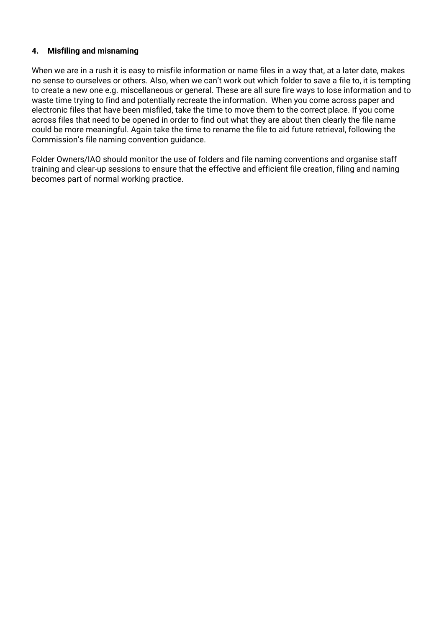## **4. Misfiling and misnaming**

When we are in a rush it is easy to misfile information or name files in a way that, at a later date, makes no sense to ourselves or others. Also, when we can't work out which folder to save a file to, it is tempting to create a new one e.g. miscellaneous or general. These are all sure fire ways to lose information and to waste time trying to find and potentially recreate the information. When you come across paper and electronic files that have been misfiled, take the time to move them to the correct place. If you come across files that need to be opened in order to find out what they are about then clearly the file name could be more meaningful. Again take the time to rename the file to aid future retrieval, following the Commission's file naming convention guidance.

Folder Owners/IAO should monitor the use of folders and file naming conventions and organise staff training and clear-up sessions to ensure that the effective and efficient file creation, filing and naming becomes part of normal working practice.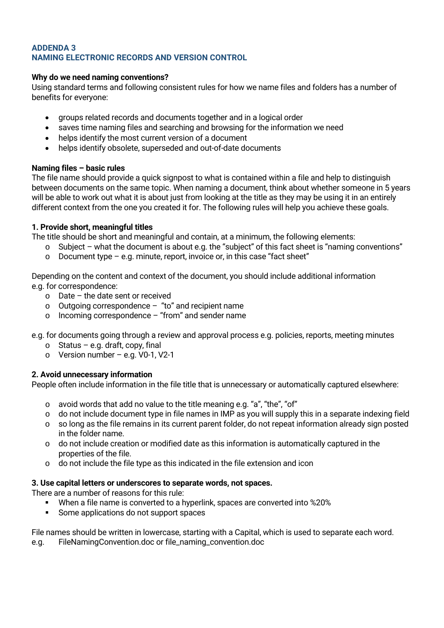### **ADDENDA 3 NAMING ELECTRONIC RECORDS AND VERSION CONTROL**

### **Why do we need naming conventions?**

Using standard terms and following consistent rules for how we name files and folders has a number of benefits for everyone:

- groups related records and documents together and in a logical order
- saves time naming files and searching and browsing for the information we need
- helps identify the most current version of a document
- helps identify obsolete, superseded and out-of-date documents

### **Naming files – basic rules**

The file name should provide a quick signpost to what is contained within a file and help to distinguish between documents on the same topic. When naming a document, think about whether someone in 5 years will be able to work out what it is about just from looking at the title as they may be using it in an entirely different context from the one you created it for. The following rules will help you achieve these goals.

### **1. Provide short, meaningful titles**

The title should be short and meaningful and contain, at a minimum, the following elements:

- o Subject what the document is about e.g. the "subject" of this fact sheet is "naming conventions"
- $\circ$  Document type e.g. minute, report, invoice or, in this case "fact sheet"

Depending on the content and context of the document, you should include additional information e.g. for correspondence:

- o Date the date sent or received
- $\circ$  Outgoing correspondence "to" and recipient name
- $\circ$  Incoming correspondence "from" and sender name

e.g. for documents going through a review and approval process e.g. policies, reports, meeting minutes

- $\circ$  Status e.g. draft, copy, final
- o Version number e.g. V0-1, V2-1

## **2. Avoid unnecessary information**

People often include information in the file title that is unnecessary or automatically captured elsewhere:

- o avoid words that add no value to the title meaning e.g. "a", "the", "of"
- $\circ$  do not include document type in file names in IMP as you will supply this in a separate indexing field
- o so long as the file remains in its current parent folder, do not repeat information already sign posted in the folder name.
- $\circ$  do not include creation or modified date as this information is automatically captured in the properties of the file.
- o do not include the file type as this indicated in the file extension and icon

### **3. Use capital letters or underscores to separate words, not spaces.**

There are a number of reasons for this rule:

- When a file name is converted to a hyperlink, spaces are converted into %20%
- Some applications do not support spaces

File names should be written in lowercase, starting with a Capital, which is used to separate each word.

e.g. FileNamingConvention.doc or file\_naming\_convention.doc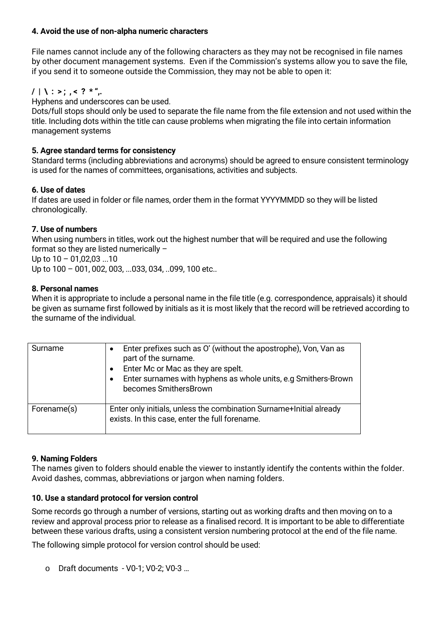## **4. Avoid the use of non-alpha numeric characters**

File names cannot include any of the following characters as they may not be recognised in file names by other document management systems. Even if the Commission's systems allow you to save the file, if you send it to someone outside the Commission, they may not be able to open it:

# $/ \mid \; \; \cdot \; \cdot \; \; , \; \; < \; ? \; * \; \cdot \; .$

Hyphens and underscores can be used.

Dots/full stops should only be used to separate the file name from the file extension and not used within the title. Including dots within the title can cause problems when migrating the file into certain information management systems

### **5. Agree standard terms for consistency**

Standard terms (including abbreviations and acronyms) should be agreed to ensure consistent terminology is used for the names of committees, organisations, activities and subjects.

### **6. Use of dates**

If dates are used in folder or file names, order them in the format YYYYMMDD so they will be listed chronologically.

### **7. Use of numbers**

When using numbers in titles, work out the highest number that will be required and use the following format so they are listed numerically – Up to  $10 - 01.02.03$  ...10 Up to 100 – 001, 002, 003, ...033, 034, ..099, 100 etc..

### **8. Personal names**

When it is appropriate to include a personal name in the file title (e.g. correspondence, appraisals) it should be given as surname first followed by initials as it is most likely that the record will be retrieved according to the surname of the individual.

| Surname     | Enter prefixes such as O' (without the apostrophe), Von, Van as<br>part of the surname.<br>Enter Mc or Mac as they are spelt.<br>Enter surnames with hyphens as whole units, e.g Smithers-Brown<br>becomes SmithersBrown |
|-------------|--------------------------------------------------------------------------------------------------------------------------------------------------------------------------------------------------------------------------|
| Forename(s) | Enter only initials, unless the combination Surname+Initial already<br>exists. In this case, enter the full forename.                                                                                                    |

### **9. Naming Folders**

The names given to folders should enable the viewer to instantly identify the contents within the folder. Avoid dashes, commas, abbreviations or jargon when naming folders.

### **10. Use a standard protocol for version control**

Some records go through a number of versions, starting out as working drafts and then moving on to a review and approval process prior to release as a finalised record. It is important to be able to differentiate between these various drafts, using a consistent version numbering protocol at the end of the file name.

The following simple protocol for version control should be used:

o Draft documents - V0-1; V0-2; V0-3 …